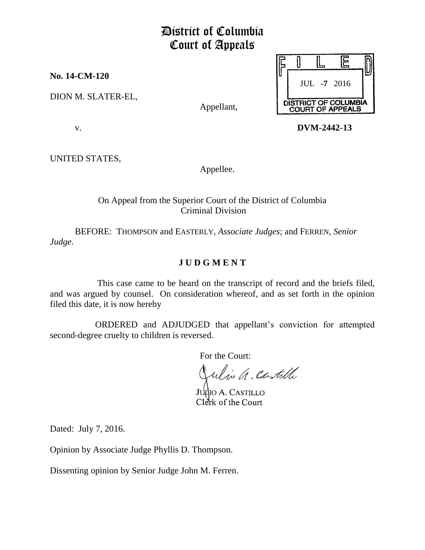# District of Columbia Court of Appeals

**No. 14-CM-120**

DION M. SLATER-EL,

Appellant,



v. **DVM-2442-13**

UNITED STATES,

Appellee.

# On Appeal from the Superior Court of the District of Columbia Criminal Division

BEFORE: THOMPSON and EASTERLY, *Associate Judges*; and FERREN, *Senior Judge*.

# **J U D G M E N T**

This case came to be heard on the transcript of record and the briefs filed, and was argued by counsel. On consideration whereof, and as set forth in the opinion filed this date, it is now hereby

 ORDERED and ADJUDGED that appellant's conviction for attempted second-degree cruelty to children is reversed.

For the Court:

ulio a castille

Julio A. CASTILLO Clerk of the Court

Dated: July 7, 2016.

Opinion by Associate Judge Phyllis D. Thompson.

Dissenting opinion by Senior Judge John M. Ferren.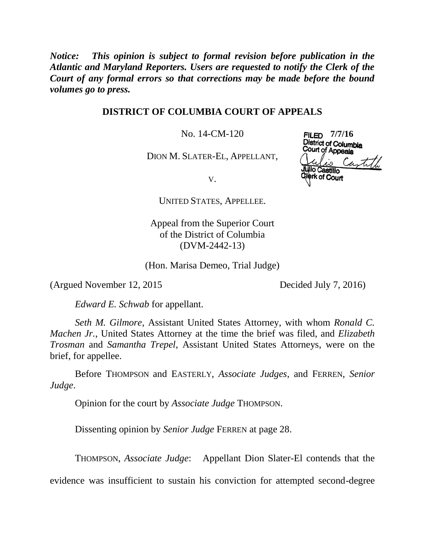*Notice: This opinion is subject to formal revision before publication in the Atlantic and Maryland Reporters. Users are requested to notify the Clerk of the Court of any formal errors so that corrections may be made before the bound volumes go to press.*

#### **DISTRICT OF COLUMBIA COURT OF APPEALS**

No. 14-CM-120

DION M. SLATER-EL, APPELLANT,

**FILED** 7/7/16<br>District of Columbia<br>Court of Appeals  $\zeta_{4}$  to  $\zeta$ io Castillo

**rk of Court** 

V.

UNITED STATES, APPELLEE.

Appeal from the Superior Court of the District of Columbia (DVM-2442-13)

(Hon. Marisa Demeo, Trial Judge)

(Argued November 12, 2015 Decided July 7, 2016)

*Edward E. Schwab* for appellant.

*Seth M. Gilmore*, Assistant United States Attorney, with whom *Ronald C. Machen Jr.*, United States Attorney at the time the brief was filed, and *Elizabeth Trosman* and *Samantha Trepel*, Assistant United States Attorneys, were on the brief, for appellee.

Before THOMPSON and EASTERLY, *Associate Judges*, and FERREN, *Senior Judge*.

Opinion for the court by *Associate Judge* THOMPSON.

Dissenting opinion by *Senior Judge* FERREN at page 28.

THOMPSON, *Associate Judge*: Appellant Dion Slater-El contends that the

evidence was insufficient to sustain his conviction for attempted second-degree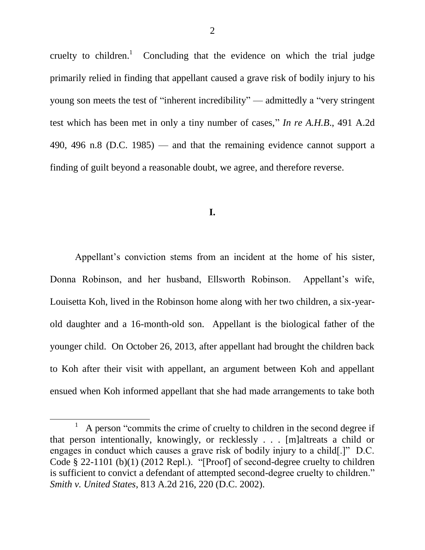cruelty to children.<sup>1</sup> Concluding that the evidence on which the trial judge primarily relied in finding that appellant caused a grave risk of bodily injury to his young son meets the test of "inherent incredibility" — admittedly a "very stringent" test which has been met in only a tiny number of cases," *In re A.H.B.*, 491 A.2d 490, 496 n.8 (D.C. 1985) — and that the remaining evidence cannot support a finding of guilt beyond a reasonable doubt, we agree, and therefore reverse.

#### **I.**

Appellant's conviction stems from an incident at the home of his sister, Donna Robinson, and her husband, Ellsworth Robinson. Appellant's wife, Louisetta Koh, lived in the Robinson home along with her two children, a six-yearold daughter and a 16-month-old son. Appellant is the biological father of the younger child. On October 26, 2013, after appellant had brought the children back to Koh after their visit with appellant, an argument between Koh and appellant ensued when Koh informed appellant that she had made arrangements to take both

<sup>1</sup> A person "commits the crime of cruelty to children in the second degree if that person intentionally, knowingly, or recklessly . . . [m]altreats a child or engages in conduct which causes a grave risk of bodily injury to a child.]"  $D.C.$ Code  $\S$  22-1101 (b)(1) (2012 Repl.). "[Proof] of second-degree cruelty to children is sufficient to convict a defendant of attempted second-degree cruelty to children." *Smith v. United States*, 813 A.2d 216, 220 (D.C. 2002).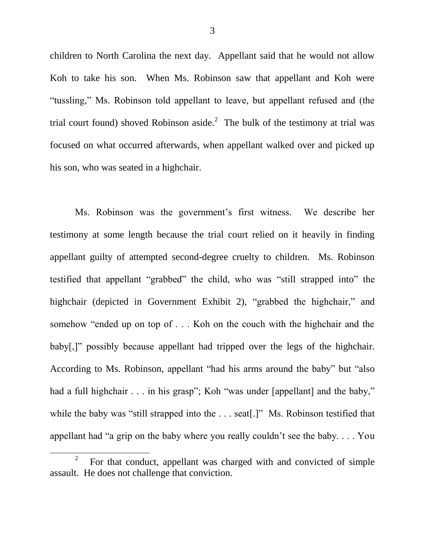children to North Carolina the next day. Appellant said that he would not allow Koh to take his son. When Ms. Robinson saw that appellant and Koh were "tussling," Ms. Robinson told appellant to leave, but appellant refused and (the trial court found) shoved Robinson aside.<sup>2</sup> The bulk of the testimony at trial was focused on what occurred afterwards, when appellant walked over and picked up his son, who was seated in a highchair.

Ms. Robinson was the government's first witness. We describe her testimony at some length because the trial court relied on it heavily in finding appellant guilty of attempted second-degree cruelty to children. Ms. Robinson testified that appellant "grabbed" the child, who was "still strapped into" the highchair (depicted in Government Exhibit 2), "grabbed the highchair," and somehow "ended up on top of  $\ldots$ . Koh on the couch with the highchair and the baby[,]" possibly because appellant had tripped over the legs of the highchair. According to Ms. Robinson, appellant "had his arms around the baby" but "also had a full highchair  $\ldots$  in his grasp"; Koh "was under [appellant] and the baby," while the baby was "still strapped into the  $\dots$  seat[.]" Ms. Robinson testified that appellant had "a grip on the baby where you really couldn't see the baby.  $\ldots$  You

<sup>2</sup> For that conduct, appellant was charged with and convicted of simple assault. He does not challenge that conviction.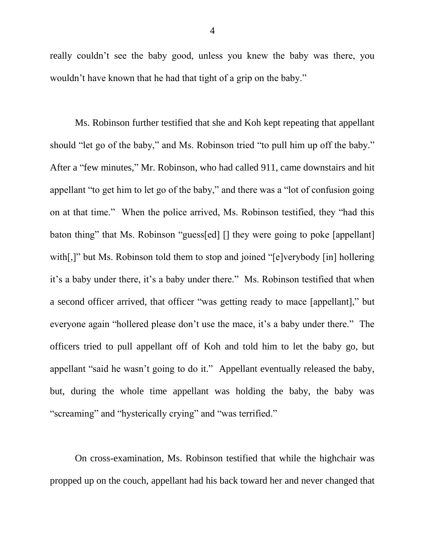really couldn't see the baby good, unless you knew the baby was there, you wouldn't have known that he had that tight of a grip on the baby."

Ms. Robinson further testified that she and Koh kept repeating that appellant should "let go of the baby," and Ms. Robinson tried "to pull him up off the baby." After a "few minutes," Mr. Robinson, who had called 911, came downstairs and hit appellant "to get him to let go of the baby," and there was a "lot of confusion going on at that time." When the police arrived, Ms. Robinson testified, they "had this baton thing" that Ms. Robinson "guess[ed]  $\lceil \cdot \rceil$  they were going to poke [appellant] with $\lceil$ ,]" but Ms. Robinson told them to stop and joined " $\lceil e \rceil$  verybody  $\lceil$  in  $\rceil$  hollering it's a baby under there, it's a baby under there." Ms. Robinson testified that when a second officer arrived, that officer "was getting ready to mace [appellant]," but everyone again "hollered please don't use the mace, it's a baby under there." The officers tried to pull appellant off of Koh and told him to let the baby go, but appellant "said he wasn't going to do it." Appellant eventually released the baby, but, during the whole time appellant was holding the baby, the baby was "screaming" and "hysterically crying" and "was terrified."

On cross-examination, Ms. Robinson testified that while the highchair was propped up on the couch, appellant had his back toward her and never changed that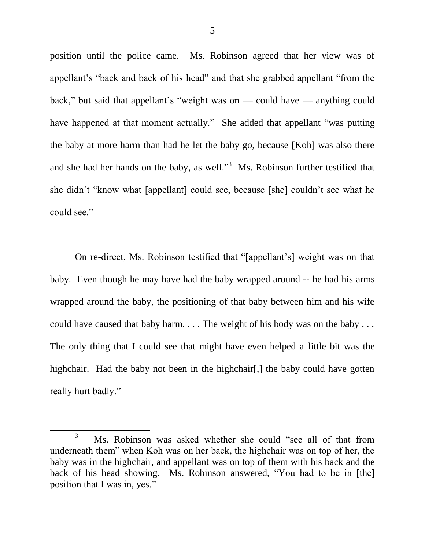position until the police came. Ms. Robinson agreed that her view was of appellant's "back and back of his head" and that she grabbed appellant "from the back," but said that appellant's "weight was on — could have — anything could have happened at that moment actually." She added that appellant "was putting the baby at more harm than had he let the baby go, because [Koh] was also there and she had her hands on the baby, as well. $\frac{3}{10}$  Ms. Robinson further testified that she didn't "know what [appellant] could see, because [she] couldn't see what he could see."

On re-direct, Ms. Robinson testified that "[appellant's] weight was on that baby. Even though he may have had the baby wrapped around -- he had his arms wrapped around the baby, the positioning of that baby between him and his wife could have caused that baby harm. . . . The weight of his body was on the baby . . . The only thing that I could see that might have even helped a little bit was the highchair. Had the baby not been in the highchair[,] the baby could have gotten really hurt badly."

<sup>3</sup> Ms. Robinson was asked whether she could "see all of that from underneath them<sup>"</sup> when Koh was on her back, the highchair was on top of her, the baby was in the highchair, and appellant was on top of them with his back and the back of his head showing. Ms. Robinson answered, "You had to be in [the] position that I was in, yes."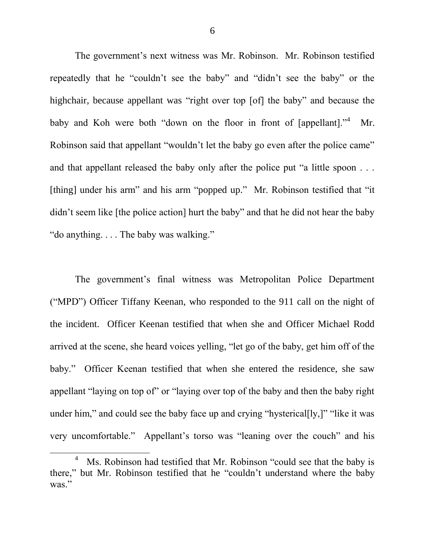The government's next witness was Mr. Robinson. Mr. Robinson testified repeatedly that he "couldn't see the baby" and "didn't see the baby" or the highchair, because appellant was "right over top [of] the baby" and because the baby and Koh were both "down on the floor in front of  $[appellant].$ "<sup>4</sup> Mr. Robinson said that appellant "wouldn't let the baby go even after the police came" and that appellant released the baby only after the police put "a little spoon  $\dots$ [thing] under his arm" and his arm "popped up." Mr. Robinson testified that "it didn't seem like [the police action] hurt the baby" and that he did not hear the baby "do anything.  $\ldots$  The baby was walking."

The government's final witness was Metropolitan Police Department ("MPD") Officer Tiffany Keenan, who responded to the 911 call on the night of the incident. Officer Keenan testified that when she and Officer Michael Rodd arrived at the scene, she heard voices yelling, "let go of the baby, get him off of the baby." Officer Keenan testified that when she entered the residence, she saw appellant "laying on top of" or "laying over top of the baby and then the baby right under him," and could see the baby face up and crying "hysterical $[1y, ]$ " "like it was very uncomfortable." Appellant's torso was "leaning over the couch" and his

<sup>&</sup>lt;sup>4</sup> Ms. Robinson had testified that Mr. Robinson "could see that the baby is there," but Mr. Robinson testified that he "couldn't understand where the baby was."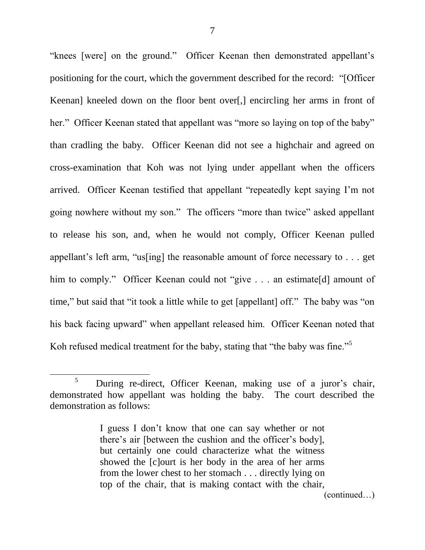"knees [were] on the ground." Officer Keenan then demonstrated appellant's positioning for the court, which the government described for the record: "[Officer Keenan] kneeled down on the floor bent over[,] encircling her arms in front of her." Officer Keenan stated that appellant was "more so laying on top of the baby" than cradling the baby. Officer Keenan did not see a highchair and agreed on cross-examination that Koh was not lying under appellant when the officers arrived. Officer Keenan testified that appellant "repeatedly kept saying I'm not going nowhere without my son." The officers "more than twice" asked appellant to release his son, and, when he would not comply, Officer Keenan pulled appellant's left arm, "us[ing] the reasonable amount of force necessary to  $\ldots$  get him to comply." Officer Keenan could not "give . . . an estimate[d] amount of time," but said that "it took a little while to get [appellant] off." The baby was "on his back facing upward" when appellant released him. Officer Keenan noted that Koh refused medical treatment for the baby, stating that "the baby was fine."<sup>5</sup>

<sup>5</sup> During re-direct, Officer Keenan, making use of a juror's chair, demonstrated how appellant was holding the baby. The court described the demonstration as follows:

I guess I don't know that one can say whether or not there's air [between the cushion and the officer's body], but certainly one could characterize what the witness showed the [c]ourt is her body in the area of her arms from the lower chest to her stomach . . . directly lying on top of the chair, that is making contact with the chair,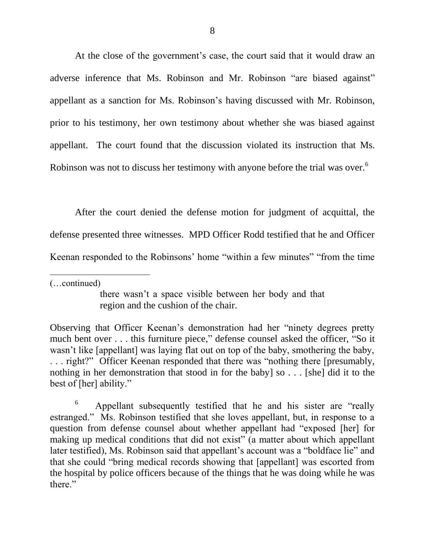At the close of the government's case, the court said that it would draw an adverse inference that Ms. Robinson and Mr. Robinson "are biased against" appellant as a sanction for Ms. Robinson's having discussed with Mr. Robinson, prior to his testimony, her own testimony about whether she was biased against appellant. The court found that the discussion violated its instruction that Ms. Robinson was not to discuss her testimony with anyone before the trial was over.<sup>6</sup>

After the court denied the defense motion for judgment of acquittal, the defense presented three witnesses. MPD Officer Rodd testified that he and Officer Keenan responded to the Robinsons' home "within a few minutes" "from the time

(…continued)

 $\overline{a}$ 

there wasn't a space visible between her body and that region and the cushion of the chair.

Observing that Officer Keenan's demonstration had her "ninety degrees pretty much bent over . . . this furniture piece," defense counsel asked the officer, "So it wasn't like [appellant] was laying flat out on top of the baby, smothering the baby, ... right?" Officer Keenan responded that there was "nothing there [presumably, nothing in her demonstration that stood in for the baby] so . . . [she] did it to the best of [her] ability."

6 Appellant subsequently testified that he and his sister are "really estranged." Ms. Robinson testified that she loves appellant, but, in response to a question from defense counsel about whether appellant had "exposed [her] for making up medical conditions that did not exist" (a matter about which appellant later testified), Ms. Robinson said that appellant's account was a "boldface lie" and that she could "bring medical records showing that [appellant] was escorted from the hospital by police officers because of the things that he was doing while he was there."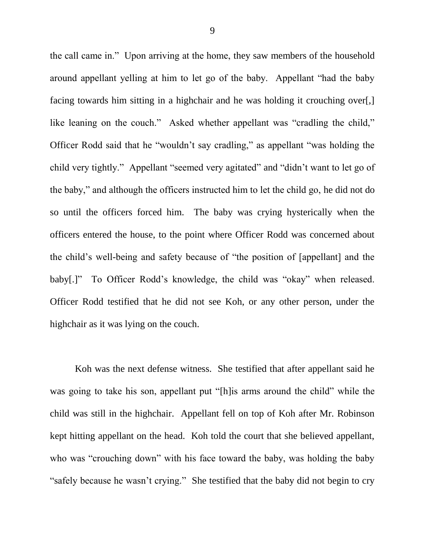the call came in." Upon arriving at the home, they saw members of the household around appellant yelling at him to let go of the baby. Appellant "had the baby facing towards him sitting in a highchair and he was holding it crouching over[,] like leaning on the couch." Asked whether appellant was "cradling the child," Officer Rodd said that he "wouldn't say cradling," as appellant "was holding the child very tightly." Appellant "seemed very agitated" and "didn't want to let go of the baby," and although the officers instructed him to let the child go, he did not do so until the officers forced him. The baby was crying hysterically when the officers entered the house, to the point where Officer Rodd was concerned about the child's well-being and safety because of "the position of [appellant] and the baby[.]" To Officer Rodd's knowledge, the child was "okay" when released. Officer Rodd testified that he did not see Koh, or any other person, under the highchair as it was lying on the couch.

Koh was the next defense witness. She testified that after appellant said he was going to take his son, appellant put "[h]is arms around the child" while the child was still in the highchair. Appellant fell on top of Koh after Mr. Robinson kept hitting appellant on the head. Koh told the court that she believed appellant, who was "crouching down" with his face toward the baby, was holding the baby "safely because he wasn't crying." She testified that the baby did not begin to cry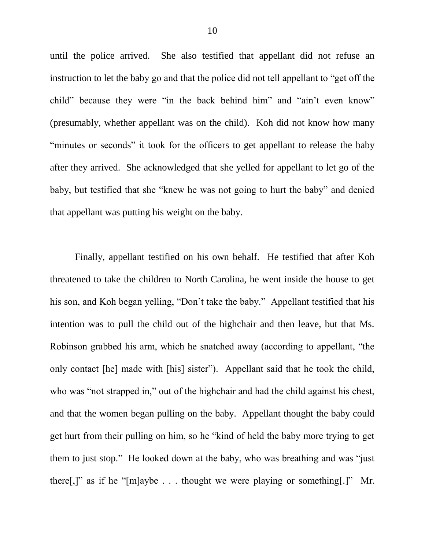until the police arrived. She also testified that appellant did not refuse an instruction to let the baby go and that the police did not tell appellant to "get off the child" because they were "in the back behind him" and "ain't even know" (presumably, whether appellant was on the child). Koh did not know how many "minutes or seconds" it took for the officers to get appellant to release the baby after they arrived. She acknowledged that she yelled for appellant to let go of the baby, but testified that she "knew he was not going to hurt the baby" and denied that appellant was putting his weight on the baby.

Finally, appellant testified on his own behalf. He testified that after Koh threatened to take the children to North Carolina, he went inside the house to get his son, and Koh began yelling, "Don't take the baby." Appellant testified that his intention was to pull the child out of the highchair and then leave, but that Ms. Robinson grabbed his arm, which he snatched away (according to appellant, "the only contact [he] made with [his] sister"). Appellant said that he took the child, who was "not strapped in," out of the highchair and had the child against his chest, and that the women began pulling on the baby. Appellant thought the baby could get hurt from their pulling on him, so he "kind of held the baby more trying to get them to just stop." He looked down at the baby, who was breathing and was "just" there $[$ ,]" as if he "[m]aybe . . . thought we were playing or something[.]" Mr.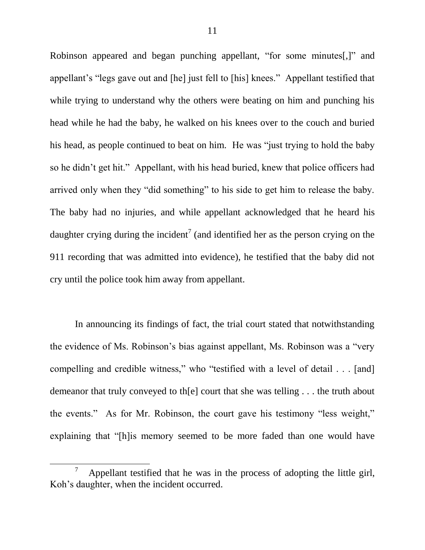Robinson appeared and began punching appellant, "for some minutes[,]" and appellant's "legs gave out and [he] just fell to [his] knees." Appellant testified that while trying to understand why the others were beating on him and punching his head while he had the baby, he walked on his knees over to the couch and buried his head, as people continued to beat on him. He was "just trying to hold the baby" so he didn't get hit." Appellant, with his head buried, knew that police officers had arrived only when they "did something" to his side to get him to release the baby. The baby had no injuries, and while appellant acknowledged that he heard his daughter crying during the incident<sup>7</sup> (and identified her as the person crying on the 911 recording that was admitted into evidence), he testified that the baby did not cry until the police took him away from appellant.

In announcing its findings of fact, the trial court stated that notwithstanding the evidence of Ms. Robinson's bias against appellant, Ms. Robinson was a "very compelling and credible witness," who "testified with a level of detail . . . [and] demeanor that truly conveyed to th[e] court that she was telling . . . the truth about the events." As for Mr. Robinson, the court gave his testimony "less weight," explaining that "[h]is memory seemed to be more faded than one would have

l

<sup>7</sup> Appellant testified that he was in the process of adopting the little girl, Koh's daughter, when the incident occurred.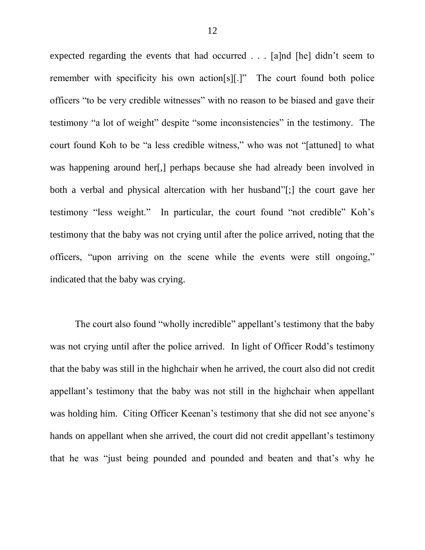expected regarding the events that had occurred . . . [a]nd [he] didn't seem to remember with specificity his own action[s][.]" The court found both police officers "to be very credible witnesses" with no reason to be biased and gave their testimony "a lot of weight" despite "some inconsistencies" in the testimony. The court found Koh to be "a less credible witness," who was not "[attuned] to what was happening around her[,] perhaps because she had already been involved in both a verbal and physical altercation with her husband"[;] the court gave her testimony "less weight." In particular, the court found "not credible" Koh's testimony that the baby was not crying until after the police arrived, noting that the officers, "upon arriving on the scene while the events were still ongoing," indicated that the baby was crying.

The court also found "wholly incredible" appellant's testimony that the baby was not crying until after the police arrived. In light of Officer Rodd's testimony that the baby was still in the highchair when he arrived, the court also did not credit appellant's testimony that the baby was not still in the highchair when appellant was holding him. Citing Officer Keenan's testimony that she did not see anyone's hands on appellant when she arrived, the court did not credit appellant's testimony that he was "just being pounded and pounded and beaten and that's why he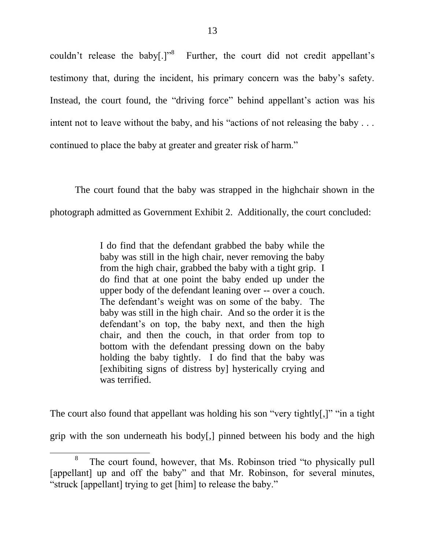couldn't release the baby $[.]$ <sup>8</sup> Further, the court did not credit appellant's testimony that, during the incident, his primary concern was the baby's safety. Instead, the court found, the "driving force" behind appellant's action was his intent not to leave without the baby, and his "actions of not releasing the baby  $\ldots$ continued to place the baby at greater and greater risk of harm."

The court found that the baby was strapped in the highchair shown in the photograph admitted as Government Exhibit 2. Additionally, the court concluded:

> I do find that the defendant grabbed the baby while the baby was still in the high chair, never removing the baby from the high chair, grabbed the baby with a tight grip. I do find that at one point the baby ended up under the upper body of the defendant leaning over -- over a couch. The defendant's weight was on some of the baby. The baby was still in the high chair. And so the order it is the defendant's on top, the baby next, and then the high chair, and then the couch, in that order from top to bottom with the defendant pressing down on the baby holding the baby tightly. I do find that the baby was [exhibiting signs of distress by] hysterically crying and was terrified.

The court also found that appellant was holding his son "very tightly[,]" "in a tight grip with the son underneath his body[,] pinned between his body and the high

<sup>8</sup> The court found, however, that Ms. Robinson tried "to physically pull [appellant] up and off the baby" and that Mr. Robinson, for several minutes, "struck [appellant] trying to get [him] to release the baby."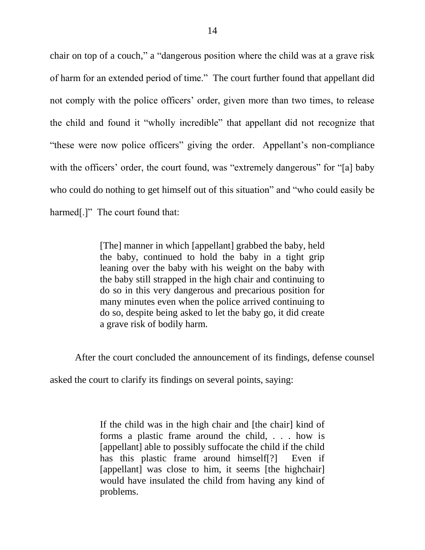chair on top of a couch," a "dangerous position where the child was at a grave risk of harm for an extended period of time." The court further found that appellant did not comply with the police officers' order, given more than two times, to release the child and found it "wholly incredible" that appellant did not recognize that "these were now police officers" giving the order. Appellant's non-compliance with the officers' order, the court found, was "extremely dangerous" for "[a] baby who could do nothing to get himself out of this situation" and "who could easily be harmed[.]" The court found that:

> [The] manner in which [appellant] grabbed the baby, held the baby, continued to hold the baby in a tight grip leaning over the baby with his weight on the baby with the baby still strapped in the high chair and continuing to do so in this very dangerous and precarious position for many minutes even when the police arrived continuing to do so, despite being asked to let the baby go, it did create a grave risk of bodily harm.

After the court concluded the announcement of its findings, defense counsel

asked the court to clarify its findings on several points, saying:

If the child was in the high chair and [the chair] kind of forms a plastic frame around the child, . . . how is [appellant] able to possibly suffocate the child if the child has this plastic frame around himself[?] Even if [appellant] was close to him, it seems [the highchair] would have insulated the child from having any kind of problems.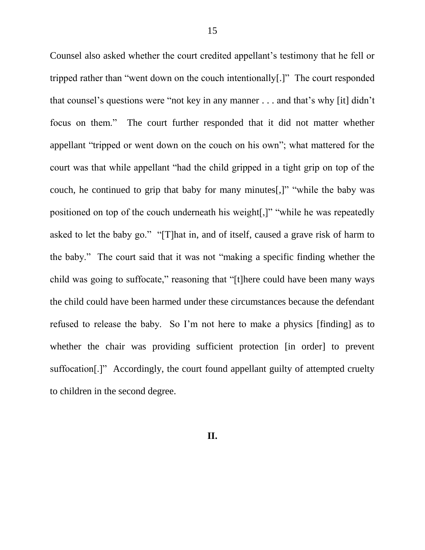Counsel also asked whether the court credited appellant's testimony that he fell or tripped rather than "went down on the couch intentionally[.]" The court responded that counsel's questions were "not key in any manner  $\ldots$  and that's why [it] didn't focus on them." The court further responded that it did not matter whether appellant "tripped or went down on the couch on his own"; what mattered for the court was that while appellant "had the child gripped in a tight grip on top of the couch, he continued to grip that baby for many minutes[,]" "while the baby was positioned on top of the couch underneath his weight.]" "while he was repeatedly asked to let the baby go." " $[T]$ hat in, and of itself, caused a grave risk of harm to the baby." The court said that it was not "making a specific finding whether the child was going to suffocate," reasoning that "[t]here could have been many ways the child could have been harmed under these circumstances because the defendant refused to release the baby. So I'm not here to make a physics [finding] as to whether the chair was providing sufficient protection [in order] to prevent suffocation[.]" Accordingly, the court found appellant guilty of attempted cruelty to children in the second degree.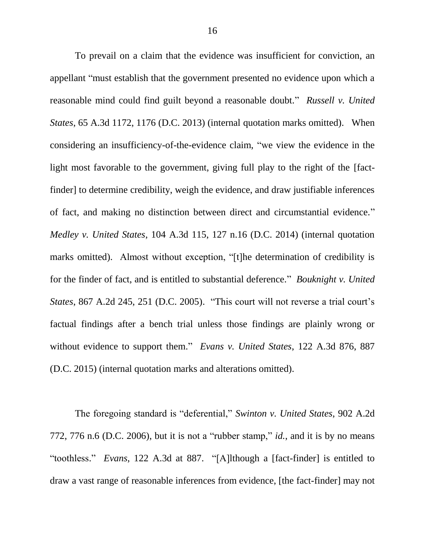To prevail on a claim that the evidence was insufficient for conviction, an appellant "must establish that the government presented no evidence upon which a reasonable mind could find guilt beyond a reasonable doubt." *Russell v. United States*, 65 A.3d 1172, 1176 (D.C. 2013) (internal quotation marks omitted).When considering an insufficiency-of-the-evidence claim, "we view the evidence in the light most favorable to the government, giving full play to the right of the [factfinder] to determine credibility, weigh the evidence, and draw justifiable inferences of fact, and making no distinction between direct and circumstantial evidence." *Medley v. United States*, 104 A.3d 115, 127 n.16 (D.C. 2014) (internal quotation marks omitted). Almost without exception, "[t]he determination of credibility is for the finder of fact, and is entitled to substantial deference." *Bouknight v. United States*, 867 A.2d 245, 251 (D.C. 2005). "This court will not reverse a trial court's factual findings after a bench trial unless those findings are plainly wrong or without evidence to support them." *Evans v. United States*, 122 A.3d 876, 887 (D.C. 2015) (internal quotation marks and alterations omitted).

The foregoing standard is "deferential," *Swinton v. United States*, 902 A.2d 772, 776 n.6 (D.C. 2006), but it is not a "rubber stamp," *id.*, and it is by no means "toothless." *Evans*, 122 A.3d at 887. "[A]lthough a [fact-finder] is entitled to draw a vast range of reasonable inferences from evidence, [the fact-finder] may not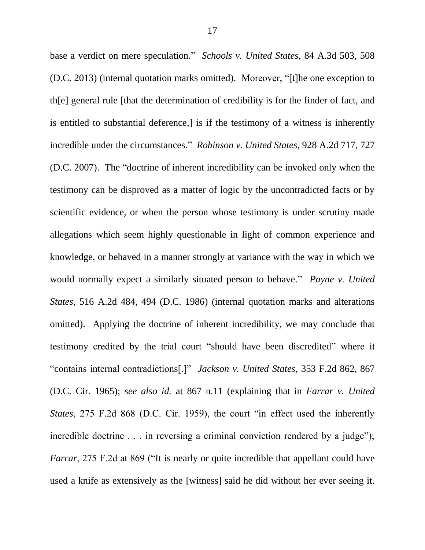base a verdict on mere speculation.‖ *Schools v. United States*, 84 A.3d 503, 508 (D.C. 2013) (internal quotation marks omitted). Moreover, "[t]he one exception to th[e] general rule [that the determination of credibility is for the finder of fact, and is entitled to substantial deference,] is if the testimony of a witness is inherently incredible under the circumstances.‖ *Robinson v. United States*, 928 A.2d 717, 727 (D.C. 2007). The "doctrine of inherent incredibility can be invoked only when the testimony can be disproved as a matter of logic by the uncontradicted facts or by scientific evidence, or when the person whose testimony is under scrutiny made allegations which seem highly questionable in light of common experience and knowledge, or behaved in a manner strongly at variance with the way in which we would normally expect a similarly situated person to behave." *Payne v. United States*, 516 A.2d 484, 494 (D.C. 1986) (internal quotation marks and alterations omitted). Applying the doctrine of inherent incredibility, we may conclude that testimony credited by the trial court "should have been discredited" where it ―contains internal contradictions[.]‖ *Jackson v. United States*, 353 F.2d 862, 867 (D.C. Cir. 1965); *see also id.* at 867 n.11 (explaining that in *Farrar v. United States*, 275 F.2d 868 (D.C. Cir. 1959), the court "in effect used the inherently incredible doctrine  $\ldots$  in reversing a criminal conviction rendered by a judge"); *Farrar*, 275 F.2d at 869 ("It is nearly or quite incredible that appellant could have used a knife as extensively as the [witness] said he did without her ever seeing it.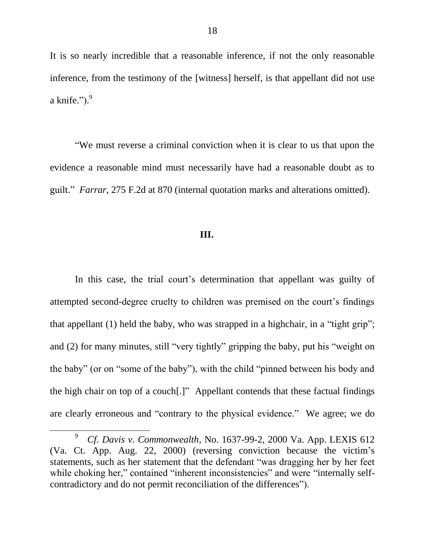It is so nearly incredible that a reasonable inference, if not the only reasonable inference, from the testimony of the [witness] herself, is that appellant did not use a knife." $)$ . $9$ 

―We must reverse a criminal conviction when it is clear to us that upon the evidence a reasonable mind must necessarily have had a reasonable doubt as to guilt.‖ *Farrar*, 275 F.2d at 870 (internal quotation marks and alterations omitted).

#### **III.**

In this case, the trial court's determination that appellant was guilty of attempted second-degree cruelty to children was premised on the court's findings that appellant  $(1)$  held the baby, who was strapped in a highchair, in a "tight grip"; and  $(2)$  for many minutes, still "very tightly" gripping the baby, put his "weight on the baby" (or on "some of the baby"), with the child "pinned between his body and the high chair on top of a couch[.]" Appellant contends that these factual findings are clearly erroneous and "contrary to the physical evidence." We agree; we do

<sup>9</sup> *Cf. Davis v. Commonwealth*, No. 1637-99-2, 2000 Va. App. LEXIS 612 (Va. Ct. App. Aug. 22, 2000) (reversing conviction because the victim's statements, such as her statement that the defendant "was dragging her by her feet while choking her," contained "inherent inconsistencies" and were "internally selfcontradictory and do not permit reconciliation of the differences").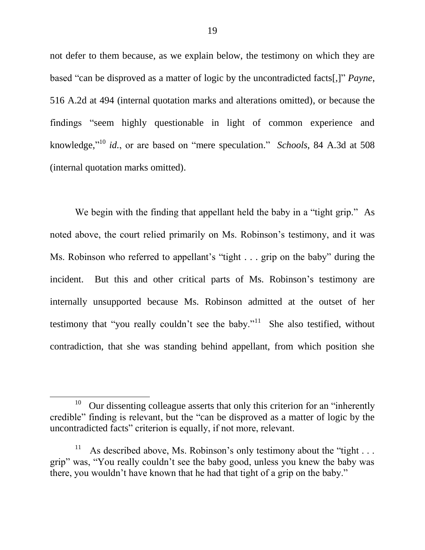not defer to them because, as we explain below, the testimony on which they are based "can be disproved as a matter of logic by the uncontradicted facts[,]" *Payne*, 516 A.2d at 494 (internal quotation marks and alterations omitted), or because the findings "seem highly questionable in light of common experience and knowledge,"<sup>10</sup> *id.*, or are based on "mere speculation." *Schools*, 84 A.3d at 508 (internal quotation marks omitted).

We begin with the finding that appellant held the baby in a "tight grip." As noted above, the court relied primarily on Ms. Robinson's testimony, and it was Ms. Robinson who referred to appellant's "tight  $\ldots$  grip on the baby" during the incident. But this and other critical parts of Ms. Robinson's testimony are internally unsupported because Ms. Robinson admitted at the outset of her testimony that "you really couldn't see the baby."<sup>11</sup> She also testified, without contradiction, that she was standing behind appellant, from which position she

<sup>&</sup>lt;sup>10</sup> Our dissenting colleague asserts that only this criterion for an "inherently" credible" finding is relevant, but the "can be disproved as a matter of logic by the uncontradicted facts" criterion is equally, if not more, relevant.

<sup>11</sup> As described above, Ms. Robinson's only testimony about the "tight  $\dots$ grip" was, "You really couldn't see the baby good, unless you knew the baby was there, you wouldn't have known that he had that tight of a grip on the baby."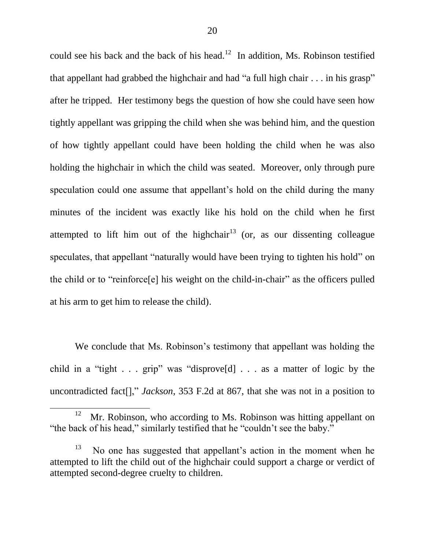could see his back and the back of his head.<sup>12</sup> In addition, Ms. Robinson testified that appellant had grabbed the highchair and had "a full high chair  $\dots$  in his grasp" after he tripped. Her testimony begs the question of how she could have seen how tightly appellant was gripping the child when she was behind him, and the question of how tightly appellant could have been holding the child when he was also holding the highchair in which the child was seated. Moreover, only through pure speculation could one assume that appellant's hold on the child during the many minutes of the incident was exactly like his hold on the child when he first attempted to lift him out of the highchair<sup>13</sup> (or, as our dissenting colleague speculates, that appellant "naturally would have been trying to tighten his hold" on the child or to "reinforce<sup>[e]</sup> his weight on the child-in-chair" as the officers pulled at his arm to get him to release the child).

We conclude that Ms. Robinson's testimony that appellant was holding the child in a "tight . . . grip" was "disprove<sup>[d]</sup> . . . as a matter of logic by the uncontradicted fact<sup>[]</sup>," *Jackson*, 353 F.2d at 867, that she was not in a position to

<sup>&</sup>lt;sup>12</sup> Mr. Robinson, who according to Ms. Robinson was hitting appellant on "the back of his head," similarly testified that he "couldn't see the baby."

<sup>13</sup> No one has suggested that appellant's action in the moment when he attempted to lift the child out of the highchair could support a charge or verdict of attempted second-degree cruelty to children.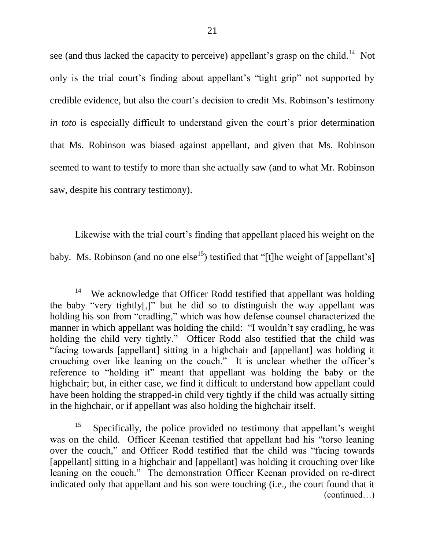see (and thus lacked the capacity to perceive) appellant's grasp on the child.<sup>14</sup> Not only is the trial court's finding about appellant's "tight grip" not supported by credible evidence, but also the court's decision to credit Ms. Robinson's testimony *in toto* is especially difficult to understand given the court's prior determination that Ms. Robinson was biased against appellant, and given that Ms. Robinson seemed to want to testify to more than she actually saw (and to what Mr. Robinson saw, despite his contrary testimony).

Likewise with the trial court's finding that appellant placed his weight on the baby. Ms. Robinson (and no one else<sup>15</sup>) testified that "[t]he weight of [appellant's]

<sup>14</sup> We acknowledge that Officer Rodd testified that appellant was holding the baby "very tightly[,]" but he did so to distinguish the way appellant was holding his son from "cradling," which was how defense counsel characterized the manner in which appellant was holding the child: "I wouldn't say cradling, he was holding the child very tightly." Officer Rodd also testified that the child was ―facing towards [appellant] sitting in a highchair and [appellant] was holding it crouching over like leaning on the couch." It is unclear whether the officer's reference to "holding it" meant that appellant was holding the baby or the highchair; but, in either case, we find it difficult to understand how appellant could have been holding the strapped-in child very tightly if the child was actually sitting in the highchair, or if appellant was also holding the highchair itself.

<sup>15</sup> Specifically, the police provided no testimony that appellant's weight was on the child. Officer Keenan testified that appellant had his "torso leaning over the couch," and Officer Rodd testified that the child was "facing towards" [appellant] sitting in a highchair and [appellant] was holding it crouching over like leaning on the couch." The demonstration Officer Keenan provided on re-direct indicated only that appellant and his son were touching (i.e., the court found that it (continued…)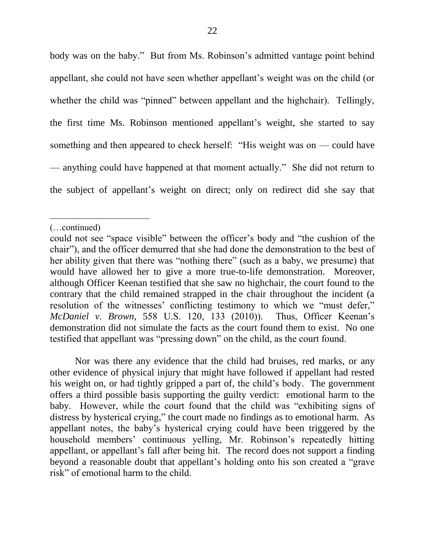body was on the baby." But from Ms. Robinson's admitted vantage point behind appellant, she could not have seen whether appellant's weight was on the child (or whether the child was "pinned" between appellant and the highchair). Tellingly, the first time Ms. Robinson mentioned appellant's weight, she started to say something and then appeared to check herself: "His weight was on — could have — anything could have happened at that moment actually." She did not return to the subject of appellant's weight on direct; only on redirect did she say that

 $\overline{a}$ 

Nor was there any evidence that the child had bruises, red marks, or any other evidence of physical injury that might have followed if appellant had rested his weight on, or had tightly gripped a part of, the child's body. The government offers a third possible basis supporting the guilty verdict: emotional harm to the baby. However, while the court found that the child was "exhibiting signs of distress by hysterical crying," the court made no findings as to emotional harm. As appellant notes, the baby's hysterical crying could have been triggered by the household members' continuous yelling, Mr. Robinson's repeatedly hitting appellant, or appellant's fall after being hit. The record does not support a finding beyond a reasonable doubt that appellant's holding onto his son created a "grave" risk" of emotional harm to the child.

<sup>(…</sup>continued)

could not see "space visible" between the officer's body and "the cushion of the chair"), and the officer demurred that she had done the demonstration to the best of her ability given that there was "nothing there" (such as a baby, we presume) that would have allowed her to give a more true-to-life demonstration. Moreover, although Officer Keenan testified that she saw no highchair, the court found to the contrary that the child remained strapped in the chair throughout the incident (a resolution of the witnesses' conflicting testimony to which we "must defer," *McDaniel v. Brown*, 558 U.S. 120, 133 (2010)). Thus, Officer Keenan's demonstration did not simulate the facts as the court found them to exist. No one testified that appellant was "pressing down" on the child, as the court found.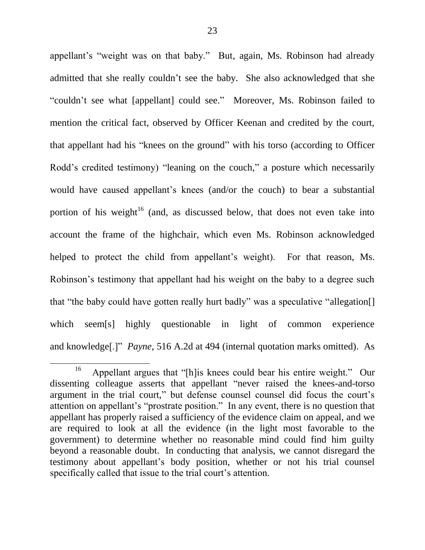appellant's "weight was on that baby." But, again, Ms. Robinson had already admitted that she really couldn't see the baby. She also acknowledged that she "couldn't see what [appellant] could see." Moreover, Ms. Robinson failed to mention the critical fact, observed by Officer Keenan and credited by the court, that appellant had his "knees on the ground" with his torso (according to Officer Rodd's credited testimony) "leaning on the couch," a posture which necessarily would have caused appellant's knees (and/or the couch) to bear a substantial portion of his weight<sup>16</sup> (and, as discussed below, that does not even take into account the frame of the highchair, which even Ms. Robinson acknowledged helped to protect the child from appellant's weight). For that reason, Ms. Robinson's testimony that appellant had his weight on the baby to a degree such that "the baby could have gotten really hurt badly" was a speculative "allegation. which seem[s] highly questionable in light of common experience and knowledge<sup>[.]"</sup> *Payne*, 516 A.2d at 494 (internal quotation marks omitted). As

<sup>16</sup> Appellant argues that "[h]is knees could bear his entire weight." Our dissenting colleague asserts that appellant "never raised the knees-and-torso argument in the trial court," but defense counsel counsel did focus the court's attention on appellant's "prostrate position." In any event, there is no question that appellant has properly raised a sufficiency of the evidence claim on appeal, and we are required to look at all the evidence (in the light most favorable to the government) to determine whether no reasonable mind could find him guilty beyond a reasonable doubt. In conducting that analysis, we cannot disregard the testimony about appellant's body position, whether or not his trial counsel specifically called that issue to the trial court's attention.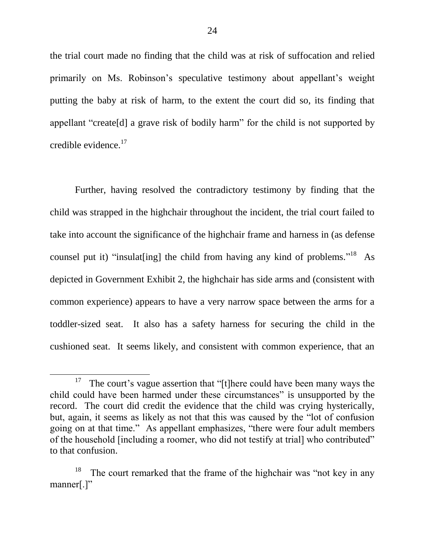the trial court made no finding that the child was at risk of suffocation and relied primarily on Ms. Robinson's speculative testimony about appellant's weight putting the baby at risk of harm, to the extent the court did so, its finding that appellant "create<sup>[d]</sup> a grave risk of bodily harm" for the child is not supported by credible evidence.<sup>17</sup>

Further, having resolved the contradictory testimony by finding that the child was strapped in the highchair throughout the incident, the trial court failed to take into account the significance of the highchair frame and harness in (as defense counsel put it) "insulat [ing] the child from having any kind of problems."<sup>18</sup> As depicted in Government Exhibit 2, the highchair has side arms and (consistent with common experience) appears to have a very narrow space between the arms for a toddler-sized seat. It also has a safety harness for securing the child in the cushioned seat. It seems likely, and consistent with common experience, that an

<sup>&</sup>lt;sup>17</sup> The court's vague assertion that "[t]here could have been many ways the child could have been harmed under these circumstances" is unsupported by the record. The court did credit the evidence that the child was crying hysterically, but, again, it seems as likely as not that this was caused by the "lot of confusion" going on at that time." As appellant emphasizes, "there were four adult members of the household [including a roomer, who did not testify at trial] who contributed" to that confusion.

<sup>18</sup> The court remarked that the frame of the highchair was "not key in any manner $[.]$ "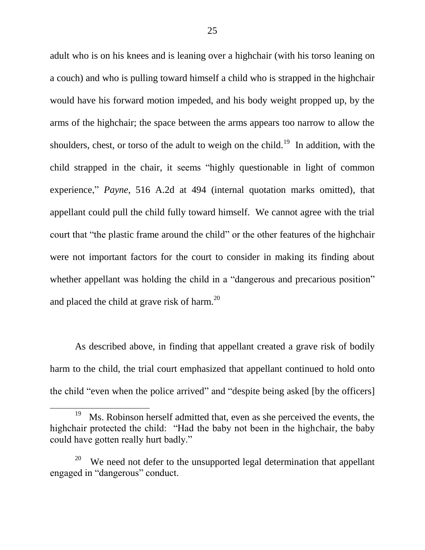adult who is on his knees and is leaning over a highchair (with his torso leaning on a couch) and who is pulling toward himself a child who is strapped in the highchair would have his forward motion impeded, and his body weight propped up, by the arms of the highchair; the space between the arms appears too narrow to allow the shoulders, chest, or torso of the adult to weigh on the child.<sup>19</sup> In addition, with the child strapped in the chair, it seems "highly questionable in light of common experience," *Payne*, 516 A.2d at 494 (internal quotation marks omitted), that appellant could pull the child fully toward himself. We cannot agree with the trial court that "the plastic frame around the child" or the other features of the highchair were not important factors for the court to consider in making its finding about whether appellant was holding the child in a "dangerous and precarious position" and placed the child at grave risk of harm. $^{20}$ 

As described above, in finding that appellant created a grave risk of bodily harm to the child, the trial court emphasized that appellant continued to hold onto the child "even when the police arrived" and "despite being asked [by the officers]

<sup>&</sup>lt;sup>19</sup> Ms. Robinson herself admitted that, even as she perceived the events, the highchair protected the child: "Had the baby not been in the highchair, the baby could have gotten really hurt badly."

<sup>20</sup> We need not defer to the unsupported legal determination that appellant engaged in "dangerous" conduct.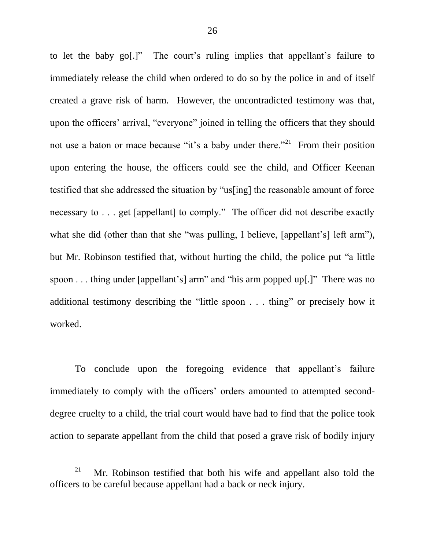to let the baby go[.]" The court's ruling implies that appellant's failure to immediately release the child when ordered to do so by the police in and of itself created a grave risk of harm. However, the uncontradicted testimony was that, upon the officers' arrival, "everyone" joined in telling the officers that they should not use a baton or mace because "it's a baby under there."<sup>21</sup> From their position upon entering the house, the officers could see the child, and Officer Keenan testified that she addressed the situation by "us[ing] the reasonable amount of force necessary to . . . get [appellant] to comply." The officer did not describe exactly what she did (other than that she "was pulling, I believe, [appellant's] left arm"), but Mr. Robinson testified that, without hurting the child, the police put "a little" spoon  $\ldots$  thing under [appellant's] arm" and "his arm popped up[.]" There was no additional testimony describing the "little spoon  $\ldots$  thing" or precisely how it worked.

To conclude upon the foregoing evidence that appellant's failure immediately to comply with the officers' orders amounted to attempted seconddegree cruelty to a child, the trial court would have had to find that the police took action to separate appellant from the child that posed a grave risk of bodily injury

l

<sup>&</sup>lt;sup>21</sup> Mr. Robinson testified that both his wife and appellant also told the officers to be careful because appellant had a back or neck injury.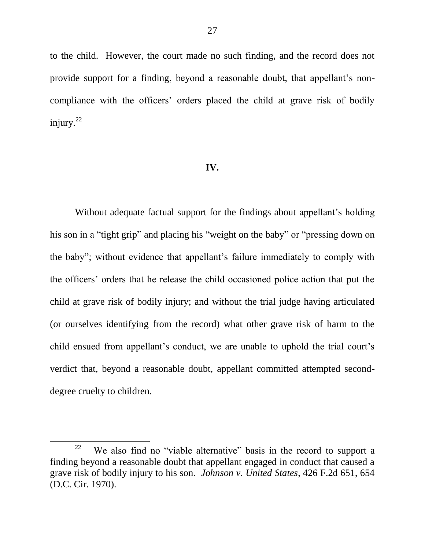to the child. However, the court made no such finding, and the record does not provide support for a finding, beyond a reasonable doubt, that appellant's noncompliance with the officers' orders placed the child at grave risk of bodily injury. $22$ 

#### **IV.**

Without adequate factual support for the findings about appellant's holding his son in a "tight grip" and placing his "weight on the baby" or "pressing down on the baby"; without evidence that appellant's failure immediately to comply with the officers' orders that he release the child occasioned police action that put the child at grave risk of bodily injury; and without the trial judge having articulated (or ourselves identifying from the record) what other grave risk of harm to the child ensued from appellant's conduct, we are unable to uphold the trial court's verdict that, beyond a reasonable doubt, appellant committed attempted seconddegree cruelty to children.

<sup>22</sup> We also find no "viable alternative" basis in the record to support a finding beyond a reasonable doubt that appellant engaged in conduct that caused a grave risk of bodily injury to his son. *Johnson v. United States*, 426 F.2d 651, 654 (D.C. Cir. 1970).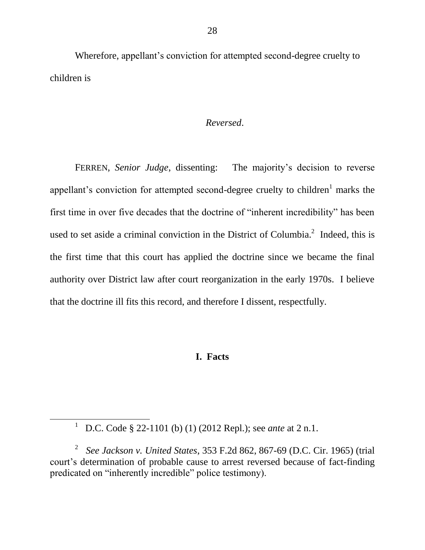Wherefore, appellant's conviction for attempted second-degree cruelty to children is

### *Reversed*.

FERREN, *Senior Judge*, dissenting: The majority's decision to reverse appellant's conviction for attempted second-degree cruelty to children<sup>1</sup> marks the first time in over five decades that the doctrine of "inherent incredibility" has been used to set aside a criminal conviction in the District of Columbia. $^2$  Indeed, this is the first time that this court has applied the doctrine since we became the final authority over District law after court reorganization in the early 1970s. I believe that the doctrine ill fits this record, and therefore I dissent, respectfully.

# **I. Facts**

<sup>1</sup> D.C. Code § 22-1101 (b) (1) (2012 Repl.); see *ante* at 2 n.1.

<sup>2</sup> *See Jackson v. United States*, 353 F.2d 862, 867-69 (D.C. Cir. 1965) (trial court's determination of probable cause to arrest reversed because of fact-finding predicated on "inherently incredible" police testimony).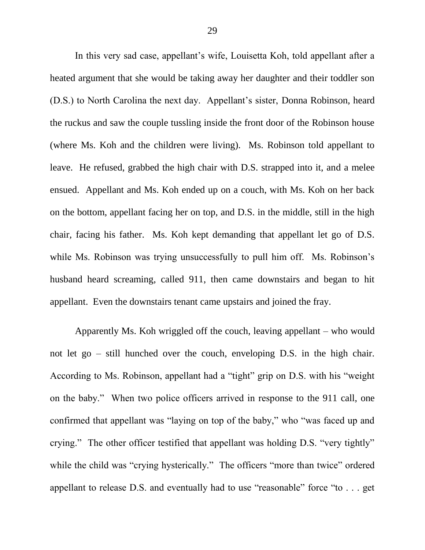In this very sad case, appellant's wife, Louisetta Koh, told appellant after a heated argument that she would be taking away her daughter and their toddler son (D.S.) to North Carolina the next day. Appellant's sister, Donna Robinson, heard the ruckus and saw the couple tussling inside the front door of the Robinson house (where Ms. Koh and the children were living). Ms. Robinson told appellant to leave. He refused, grabbed the high chair with D.S. strapped into it, and a melee ensued. Appellant and Ms. Koh ended up on a couch, with Ms. Koh on her back on the bottom, appellant facing her on top, and D.S. in the middle, still in the high chair, facing his father. Ms. Koh kept demanding that appellant let go of D.S. while Ms. Robinson was trying unsuccessfully to pull him off. Ms. Robinson's husband heard screaming, called 911, then came downstairs and began to hit appellant. Even the downstairs tenant came upstairs and joined the fray.

Apparently Ms. Koh wriggled off the couch, leaving appellant – who would not let go – still hunched over the couch, enveloping D.S. in the high chair. According to Ms. Robinson, appellant had a "tight" grip on D.S. with his "weight" on the baby." When two police officers arrived in response to the 911 call, one confirmed that appellant was "laying on top of the baby," who "was faced up and crying." The other officer testified that appellant was holding D.S. "very tightly" while the child was "crying hysterically." The officers "more than twice" ordered appellant to release D.S. and eventually had to use "reasonable" force "to  $\ldots$  get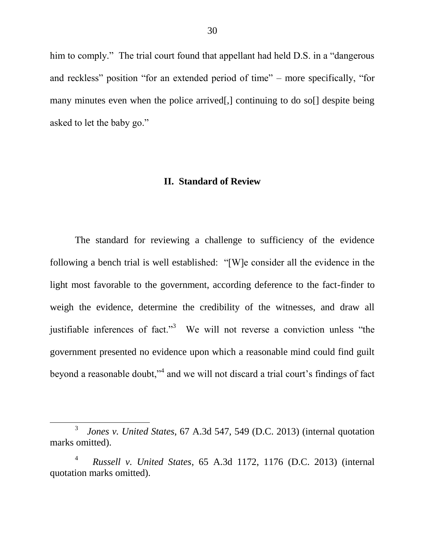him to comply." The trial court found that appellant had held D.S. in a "dangerous" and reckless" position "for an extended period of time" – more specifically, "for many minutes even when the police arrived. Continuing to do soll despite being asked to let the baby go."

#### **II. Standard of Review**

The standard for reviewing a challenge to sufficiency of the evidence following a bench trial is well established:  $\lq$ [W]e consider all the evidence in the light most favorable to the government, according deference to the fact-finder to weigh the evidence, determine the credibility of the witnesses, and draw all justifiable inferences of fact.<sup>3</sup> We will not reverse a conviction unless "the government presented no evidence upon which a reasonable mind could find guilt beyond a reasonable doubt,"<sup>4</sup> and we will not discard a trial court's findings of fact

<sup>3</sup> *Jones v. United States*, 67 A.3d 547, 549 (D.C. 2013) (internal quotation marks omitted).

<sup>4</sup> *Russell v. United States*, 65 A.3d 1172, 1176 (D.C. 2013) (internal quotation marks omitted).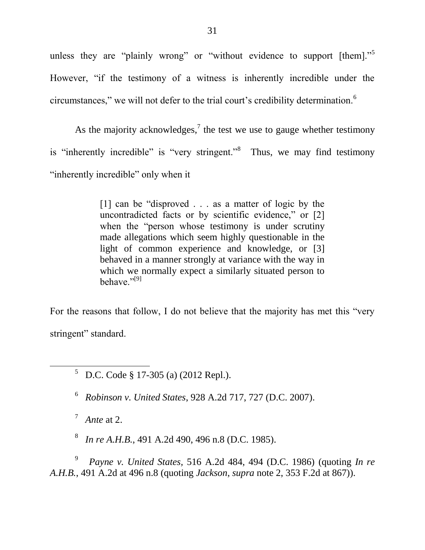unless they are "plainly wrong" or "without evidence to support [them]."<sup>5</sup> However, "if the testimony of a witness is inherently incredible under the circumstances," we will not defer to the trial court's credibility determination.<sup>6</sup>

As the majority acknowledges,<sup>7</sup> the test we use to gauge whether testimony is "inherently incredible" is "very stringent."<sup>8</sup> Thus, we may find testimony "inherently incredible" only when it

> [1] can be "disproved  $\ldots$  as a matter of logic by the uncontradicted facts or by scientific evidence," or  $[2]$ when the "person whose testimony is under scrutiny made allegations which seem highly questionable in the light of common experience and knowledge, or [3] behaved in a manner strongly at variance with the way in which we normally expect a similarly situated person to behave."<sup>[9]</sup>

For the reasons that follow, I do not believe that the majority has met this "very" stringent" standard.

<sup>5</sup> D.C. Code § 17-305 (a) (2012 Repl.).

6 *Robinson v. United States*, 928 A.2d 717, 727 (D.C. 2007).

 $^7$  Ante at 2.

 $\overline{a}$ 

8 *In re A.H.B.*, 491 A.2d 490, 496 n.8 (D.C. 1985).

9 *Payne v. United States,* 516 A.2d 484, 494 (D.C. 1986) (quoting *In re A.H.B.*, 491 A.2d at 496 n.8 (quoting *Jackson*, *supra* note 2, 353 F.2d at 867)).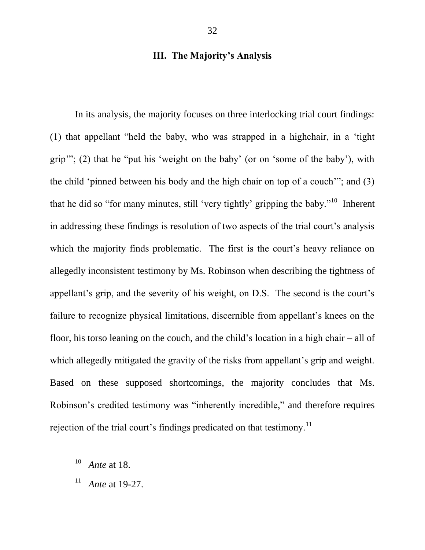# **III. The Majority's Analysis**

In its analysis, the majority focuses on three interlocking trial court findings:  $(1)$  that appellant "held the baby, who was strapped in a highchair, in a 'tight' grip"; (2) that he "put his 'weight on the baby' (or on 'some of the baby'), with the child 'pinned between his body and the high chair on top of a couch'"; and  $(3)$ that he did so "for many minutes, still 'very tightly' gripping the baby."<sup>10</sup> Inherent in addressing these findings is resolution of two aspects of the trial court's analysis which the majority finds problematic. The first is the court's heavy reliance on allegedly inconsistent testimony by Ms. Robinson when describing the tightness of appellant's grip, and the severity of his weight, on D.S. The second is the court's failure to recognize physical limitations, discernible from appellant's knees on the floor, his torso leaning on the couch, and the child's location in a high chair – all of which allegedly mitigated the gravity of the risks from appellant's grip and weight. Based on these supposed shortcomings, the majority concludes that Ms. Robinson's credited testimony was "inherently incredible," and therefore requires rejection of the trial court's findings predicated on that testimony.<sup>11</sup>

<sup>10</sup> *Ante* at 18.

<sup>11</sup> *Ante* at 19-27.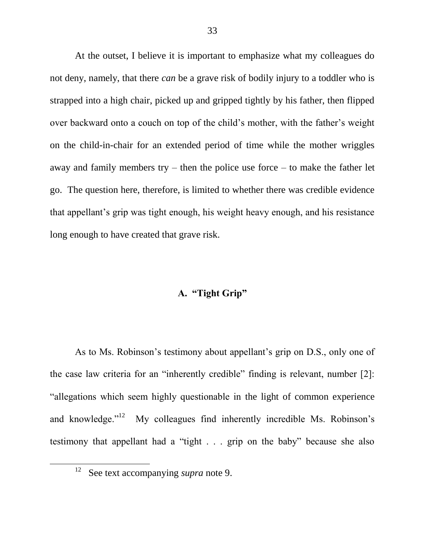At the outset, I believe it is important to emphasize what my colleagues do not deny, namely, that there *can* be a grave risk of bodily injury to a toddler who is strapped into a high chair, picked up and gripped tightly by his father, then flipped over backward onto a couch on top of the child's mother, with the father's weight on the child-in-chair for an extended period of time while the mother wriggles away and family members try – then the police use force – to make the father let go. The question here, therefore, is limited to whether there was credible evidence that appellant's grip was tight enough, his weight heavy enough, and his resistance long enough to have created that grave risk.

# **A. "Tight Grip"**

As to Ms. Robinson's testimony about appellant's grip on D.S., only one of the case law criteria for an "inherently credible" finding is relevant, number  $[2]$ : "allegations which seem highly questionable in the light of common experience and knowledge. $12$ <sup>12</sup> My colleagues find inherently incredible Ms. Robinson's testimony that appellant had a "tight  $\ldots$  grip on the baby" because she also

l

<sup>12</sup> See text accompanying *supra* note 9.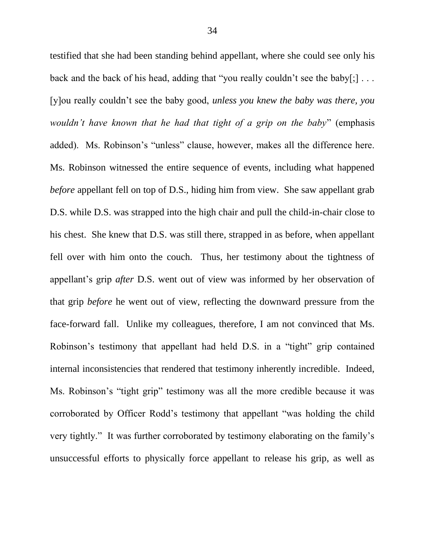testified that she had been standing behind appellant, where she could see only his back and the back of his head, adding that "you really couldn't see the baby[;]  $\dots$ [y]ou really couldn't see the baby good, *unless you knew the baby was there, you wouldn't have known that he had that tight of a grip on the baby*" (emphasis added). Ms. Robinson's "unless" clause, however, makes all the difference here. Ms. Robinson witnessed the entire sequence of events, including what happened *before* appellant fell on top of D.S., hiding him from view. She saw appellant grab D.S. while D.S. was strapped into the high chair and pull the child-in-chair close to his chest. She knew that D.S. was still there, strapped in as before, when appellant fell over with him onto the couch. Thus, her testimony about the tightness of appellant's grip *after* D.S. went out of view was informed by her observation of that grip *before* he went out of view, reflecting the downward pressure from the face-forward fall. Unlike my colleagues, therefore, I am not convinced that Ms. Robinson's testimony that appellant had held D.S. in a "tight" grip contained internal inconsistencies that rendered that testimony inherently incredible. Indeed, Ms. Robinson's "tight grip" testimony was all the more credible because it was corroborated by Officer Rodd's testimony that appellant "was holding the child very tightly." It was further corroborated by testimony elaborating on the family's unsuccessful efforts to physically force appellant to release his grip, as well as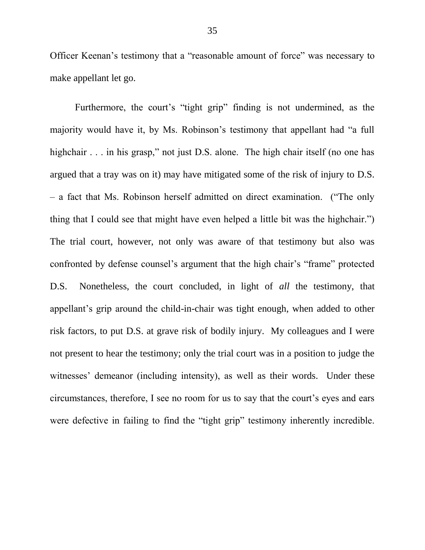Officer Keenan's testimony that a "reasonable amount of force" was necessary to make appellant let go.

Furthermore, the court's "tight grip" finding is not undermined, as the majority would have it, by Ms. Robinson's testimony that appellant had "a full highchair  $\ldots$  in his grasp," not just D.S. alone. The high chair itself (no one has argued that a tray was on it) may have mitigated some of the risk of injury to D.S. – a fact that Ms. Robinson herself admitted on direct examination. ("The only thing that I could see that might have even helped a little bit was the highchair." The trial court, however, not only was aware of that testimony but also was confronted by defense counsel's argument that the high chair's "frame" protected D.S. Nonetheless, the court concluded, in light of *all* the testimony, that appellant's grip around the child-in-chair was tight enough, when added to other risk factors, to put D.S. at grave risk of bodily injury. My colleagues and I were not present to hear the testimony; only the trial court was in a position to judge the witnesses' demeanor (including intensity), as well as their words. Under these circumstances, therefore, I see no room for us to say that the court's eyes and ears were defective in failing to find the "tight grip" testimony inherently incredible.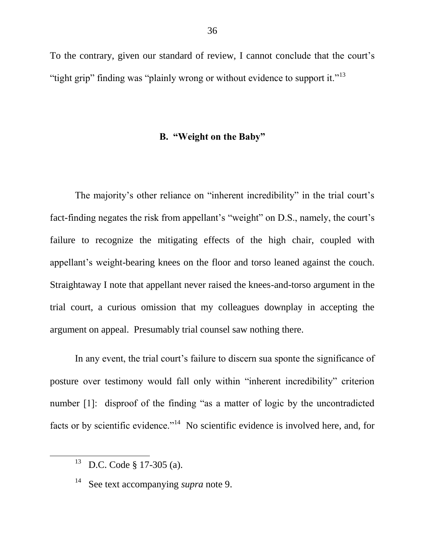To the contrary, given our standard of review, I cannot conclude that the court's "tight grip" finding was "plainly wrong or without evidence to support it."<sup>13</sup>

# **B. "Weight on the Baby"**

The majority's other reliance on "inherent incredibility" in the trial court's fact-finding negates the risk from appellant's "weight" on D.S., namely, the court's failure to recognize the mitigating effects of the high chair, coupled with appellant's weight-bearing knees on the floor and torso leaned against the couch. Straightaway I note that appellant never raised the knees-and-torso argument in the trial court, a curious omission that my colleagues downplay in accepting the argument on appeal. Presumably trial counsel saw nothing there.

In any event, the trial court's failure to discern sua sponte the significance of posture over testimony would fall only within "inherent incredibility" criterion number  $[1]$ : disproof of the finding "as a matter of logic by the uncontradicted facts or by scientific evidence."<sup>14</sup> No scientific evidence is involved here, and, for

<sup>13</sup> D.C. Code § 17-305 (a).

<sup>14</sup> See text accompanying *supra* note 9.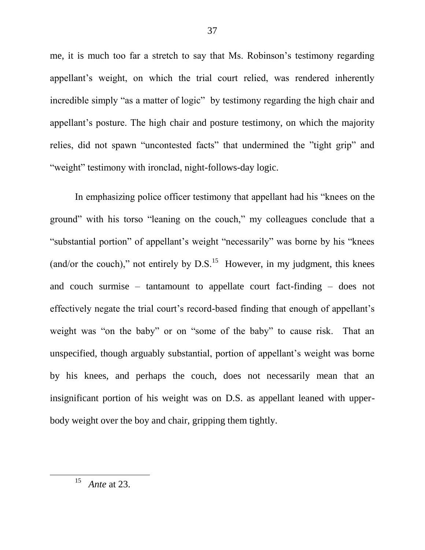me, it is much too far a stretch to say that Ms. Robinson's testimony regarding appellant's weight, on which the trial court relied, was rendered inherently incredible simply "as a matter of logic" by testimony regarding the high chair and appellant's posture. The high chair and posture testimony, on which the majority relies, did not spawn "uncontested facts" that undermined the "tight grip" and "weight" testimony with ironclad, night-follows-day logic.

In emphasizing police officer testimony that appellant had his "knees on the ground" with his torso "leaning on the couch," my colleagues conclude that a "substantial portion" of appellant's weight "necessarily" was borne by his "knees" (and/or the couch)," not entirely by  $D.S.<sup>15</sup>$  However, in my judgment, this knees and couch surmise – tantamount to appellate court fact-finding – does not effectively negate the trial court's record-based finding that enough of appellant's weight was "on the baby" or on "some of the baby" to cause risk. That an unspecified, though arguably substantial, portion of appellant's weight was borne by his knees, and perhaps the couch, does not necessarily mean that an insignificant portion of his weight was on D.S. as appellant leaned with upperbody weight over the boy and chair, gripping them tightly.

15 *Ante* at 23.

l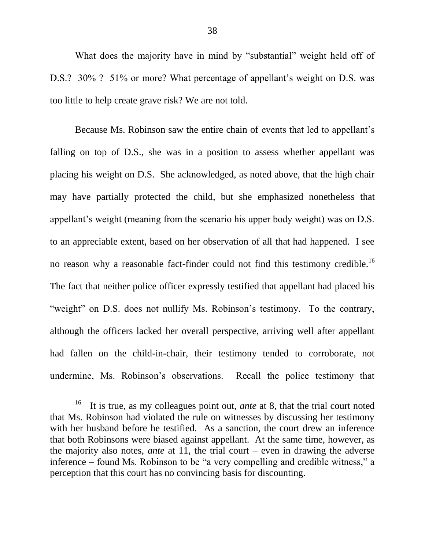What does the majority have in mind by "substantial" weight held off of D.S.? 30% ? 51% or more? What percentage of appellant's weight on D.S. was too little to help create grave risk? We are not told.

Because Ms. Robinson saw the entire chain of events that led to appellant's falling on top of D.S., she was in a position to assess whether appellant was placing his weight on D.S. She acknowledged, as noted above, that the high chair may have partially protected the child, but she emphasized nonetheless that appellant's weight (meaning from the scenario his upper body weight) was on D.S. to an appreciable extent, based on her observation of all that had happened. I see no reason why a reasonable fact-finder could not find this testimony credible.<sup>16</sup> The fact that neither police officer expressly testified that appellant had placed his "weight" on D.S. does not nullify Ms. Robinson's testimony. To the contrary, although the officers lacked her overall perspective, arriving well after appellant had fallen on the child-in-chair, their testimony tended to corroborate, not undermine, Ms. Robinson's observations. Recall the police testimony that

<sup>16</sup> It is true, as my colleagues point out, *ante* at 8, that the trial court noted that Ms. Robinson had violated the rule on witnesses by discussing her testimony with her husband before he testified. As a sanction, the court drew an inference that both Robinsons were biased against appellant. At the same time, however, as the majority also notes, *ante* at 11, the trial court – even in drawing the adverse inference – found Ms. Robinson to be "a very compelling and credible witness," a perception that this court has no convincing basis for discounting.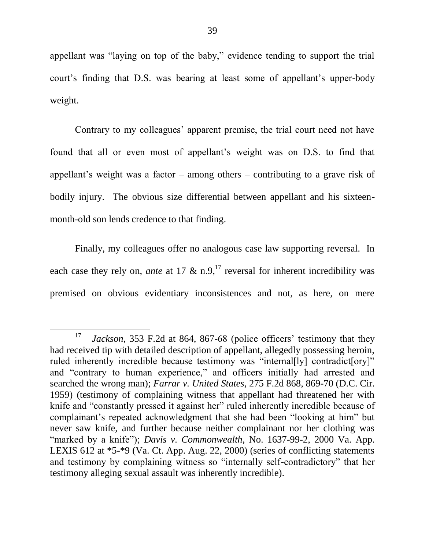appellant was "laying on top of the baby," evidence tending to support the trial court's finding that D.S. was bearing at least some of appellant's upper-body weight.

Contrary to my colleagues' apparent premise, the trial court need not have found that all or even most of appellant's weight was on D.S. to find that appellant's weight was a factor – among others – contributing to a grave risk of bodily injury. The obvious size differential between appellant and his sixteenmonth-old son lends credence to that finding.

Finally, my colleagues offer no analogous case law supporting reversal. In each case they rely on, *ante* at 17  $\&$  n.9,<sup>17</sup> reversal for inherent incredibility was premised on obvious evidentiary inconsistences and not, as here, on mere

<sup>17</sup> *Jackson*, 353 F.2d at 864, 867-68 (police officers' testimony that they had received tip with detailed description of appellant, allegedly possessing heroin, ruled inherently incredible because testimony was "internal[ly] contradict[ory]" and "contrary to human experience," and officers initially had arrested and searched the wrong man); *Farrar v. United States*, 275 F.2d 868, 869-70 (D.C. Cir. 1959) (testimony of complaining witness that appellant had threatened her with knife and "constantly pressed it against her" ruled inherently incredible because of complainant's repeated acknowledgment that she had been "looking at him" but never saw knife, and further because neither complainant nor her clothing was "marked by a knife"); *Davis v. Commonwealth*, No. 1637-99-2, 2000 Va. App. LEXIS 612 at \*5-\*9 (Va. Ct. App. Aug. 22, 2000) (series of conflicting statements and testimony by complaining witness so "internally self-contradictory" that her testimony alleging sexual assault was inherently incredible).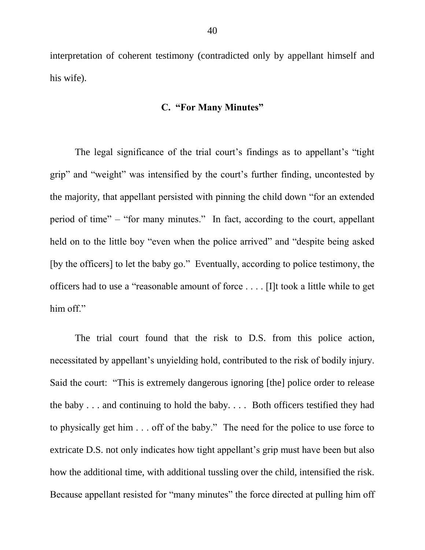interpretation of coherent testimony (contradicted only by appellant himself and his wife).

### **C. "For Many Minutes"**

The legal significance of the trial court's findings as to appellant's "tight" grip" and "weight" was intensified by the court's further finding, uncontested by the majority, that appellant persisted with pinning the child down "for an extended period of time" – "for many minutes." In fact, according to the court, appellant held on to the little boy "even when the police arrived" and "despite being asked [by the officers] to let the baby go." Eventually, according to police testimony, the officers had to use a "reasonable amount of force . . . . [I]t took a little while to get him off."

The trial court found that the risk to D.S. from this police action, necessitated by appellant's unyielding hold, contributed to the risk of bodily injury. Said the court: "This is extremely dangerous ignoring [the] police order to release the baby . . . and continuing to hold the baby. . . . Both officers testified they had to physically get him . . . off of the baby." The need for the police to use force to extricate D.S. not only indicates how tight appellant's grip must have been but also how the additional time, with additional tussling over the child, intensified the risk. Because appellant resisted for "many minutes" the force directed at pulling him off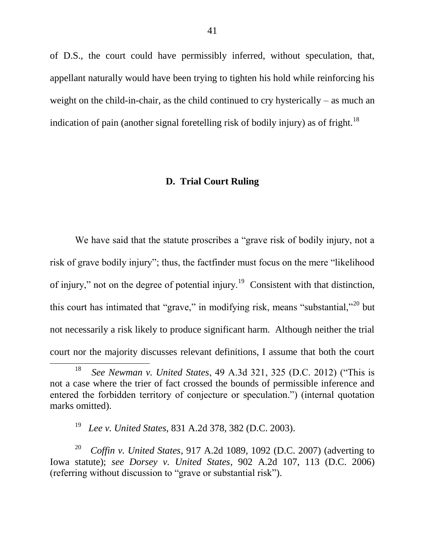of D.S., the court could have permissibly inferred, without speculation, that, appellant naturally would have been trying to tighten his hold while reinforcing his weight on the child-in-chair, as the child continued to cry hysterically – as much an indication of pain (another signal foretelling risk of bodily injury) as of fright.<sup>18</sup>

# **D. Trial Court Ruling**

We have said that the statute proscribes a "grave risk of bodily injury, not a risk of grave bodily injury"; thus, the factfinder must focus on the mere "likelihood" of injury," not on the degree of potential injury.<sup>19</sup> Consistent with that distinction, this court has intimated that "grave," in modifying risk, means "substantial,"<sup>20</sup> but not necessarily a risk likely to produce significant harm. Although neither the trial court nor the majority discusses relevant definitions, I assume that both the court  $\overline{a}$ 

<sup>18</sup> *See Newman v. United States, 49 A.3d 321, 325 (D.C. 2012)* ("This is not a case where the trier of fact crossed the bounds of permissible inference and entered the forbidden territory of conjecture or speculation.") (internal quotation marks omitted).

<sup>19</sup> *Lee v. United States*, 831 A.2d 378, 382 (D.C. 2003).

<sup>20</sup> *Coffin v. United States*, 917 A.2d 1089, 1092 (D.C. 2007) (adverting to Iowa statute); *see Dorsey v. United States*, 902 A.2d 107, 113 (D.C. 2006) (referring without discussion to "grave or substantial risk").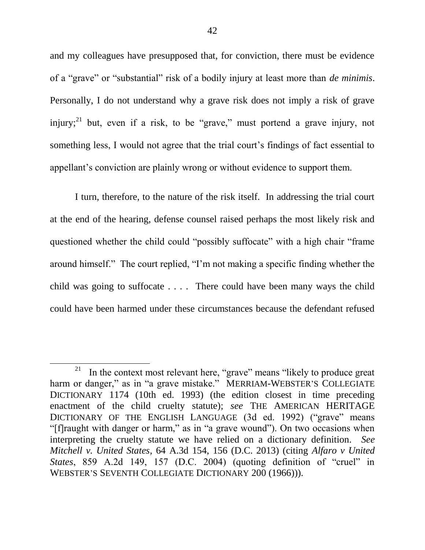and my colleagues have presupposed that, for conviction, there must be evidence of a "grave" or "substantial" risk of a bodily injury at least more than *de minimis*. Personally, I do not understand why a grave risk does not imply a risk of grave injury;<sup>21</sup> but, even if a risk, to be "grave," must portend a grave injury, not something less, I would not agree that the trial court's findings of fact essential to appellant's conviction are plainly wrong or without evidence to support them.

I turn, therefore, to the nature of the risk itself. In addressing the trial court at the end of the hearing, defense counsel raised perhaps the most likely risk and questioned whether the child could "possibly suffocate" with a high chair "frame around himself." The court replied, "I'm not making a specific finding whether the child was going to suffocate . . . . There could have been many ways the child could have been harmed under these circumstances because the defendant refused

<sup>&</sup>lt;sup>21</sup> In the context most relevant here, "grave" means "likely to produce great harm or danger," as in "a grave mistake." MERRIAM-WEBSTER'S COLLEGIATE DICTIONARY 1174 (10th ed. 1993) (the edition closest in time preceding enactment of the child cruelty statute); *see* THE AMERICAN HERITAGE DICTIONARY OF THE ENGLISH LANGUAGE (3d ed. 1992) ("grave" means "[f]raught with danger or harm," as in "a grave wound"). On two occasions when interpreting the cruelty statute we have relied on a dictionary definition. *See Mitchell v. United States*, 64 A.3d 154, 156 (D.C. 2013) (citing *Alfaro v United States*, 859 A.2d 149, 157 (D.C. 2004) (quoting definition of "cruel" in WEBSTER'S SEVENTH COLLEGIATE DICTIONARY 200 (1966))).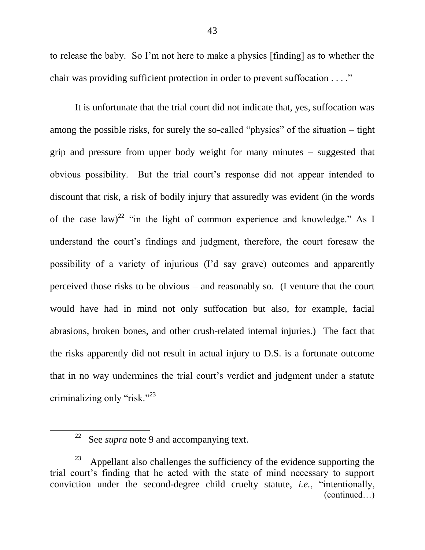to release the baby. So I'm not here to make a physics [finding] as to whether the chair was providing sufficient protection in order to prevent suffocation . . . ."

It is unfortunate that the trial court did not indicate that, yes, suffocation was among the possible risks, for surely the so-called "physics" of the situation  $-$  tight grip and pressure from upper body weight for many minutes – suggested that obvious possibility. But the trial court's response did not appear intended to discount that risk, a risk of bodily injury that assuredly was evident (in the words of the case law)<sup>22</sup> "in the light of common experience and knowledge." As I understand the court's findings and judgment, therefore, the court foresaw the possibility of a variety of injurious (I'd say grave) outcomes and apparently perceived those risks to be obvious – and reasonably so. (I venture that the court would have had in mind not only suffocation but also, for example, facial abrasions, broken bones, and other crush-related internal injuries.) The fact that the risks apparently did not result in actual injury to D.S. is a fortunate outcome that in no way undermines the trial court's verdict and judgment under a statute criminalizing only " $risk$ ."<sup>23</sup>

<sup>&</sup>lt;sup>22</sup> See *supra* note 9 and accompanying text.

<sup>23</sup> Appellant also challenges the sufficiency of the evidence supporting the trial court's finding that he acted with the state of mind necessary to support conviction under the second-degree child cruelty statute, *i.e.*, "intentionally, (continued…)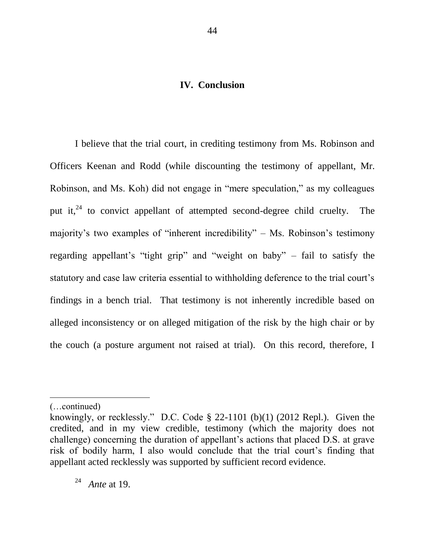# **IV. Conclusion**

I believe that the trial court, in crediting testimony from Ms. Robinson and Officers Keenan and Rodd (while discounting the testimony of appellant, Mr. Robinson, and Ms. Koh) did not engage in "mere speculation," as my colleagues put it, $^{24}$  to convict appellant of attempted second-degree child cruelty. The majority's two examples of "inherent incredibility" – Ms. Robinson's testimony regarding appellant's "tight grip" and "weight on baby" – fail to satisfy the statutory and case law criteria essential to withholding deference to the trial court's findings in a bench trial. That testimony is not inherently incredible based on alleged inconsistency or on alleged mitigation of the risk by the high chair or by the couch (a posture argument not raised at trial). On this record, therefore, I

<sup>(…</sup>continued)

knowingly, or recklessly." D.C. Code § 22-1101 (b)(1) (2012 Repl.). Given the credited, and in my view credible, testimony (which the majority does not challenge) concerning the duration of appellant's actions that placed D.S. at grave risk of bodily harm, I also would conclude that the trial court's finding that appellant acted recklessly was supported by sufficient record evidence.

<sup>24</sup> *Ante* at 19.